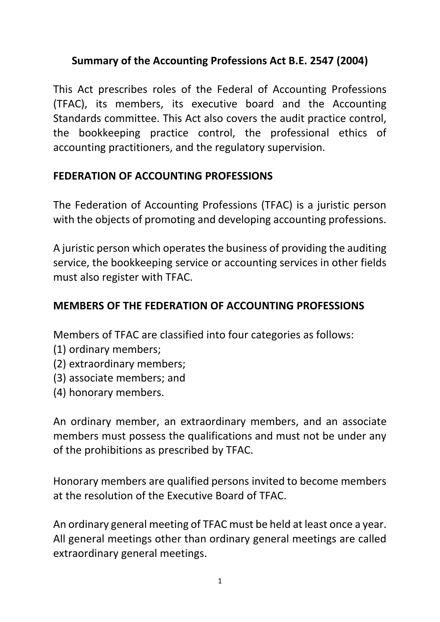### **Summary of the Accounting Professions Act B.E. 2547 (2004)**

This Act prescribes roles of the Federal of Accounting Professions (TFAC), its members, its executive board and the Accounting Standards committee. This Act also covers the audit practice control, the bookkeeping practice control, the professional ethics of accounting practitioners, and the regulatory supervision.

### **FEDERATION OF ACCOUNTING PROFESSIONS**

The Federation of Accounting Professions (TFAC) is a juristic person with the objects of promoting and developing accounting professions.

A juristic person which operates the business of providing the auditing service, the bookkeeping service or accounting services in other fields must also register with TFAC.

#### **MEMBERS OF THE FEDERATION OF ACCOUNTING PROFESSIONS**

Members of TFAC are classified into four categories as follows:

- (1) ordinary members;
- (2) extraordinary members;
- (3) associate members; and
- (4) honorary members.

An ordinary member, an extraordinary members, and an associate members must possess the qualifications and must not be under any of the prohibitions as prescribed by TFAC.

Honorary members are qualified persons invited to become members at the resolution of the Executive Board of TFAC.

An ordinary general meeting of TFAC must be held at least once a year. All general meetings other than ordinary general meetings are called extraordinary general meetings.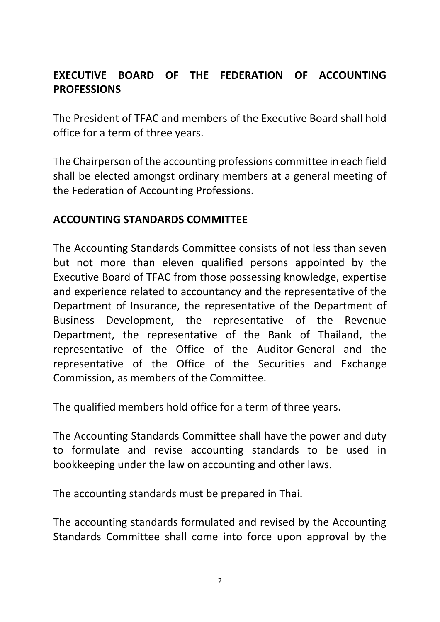# **EXECUTIVE BOARD OF THE FEDERATION OF ACCOUNTING PROFESSIONS**

The President of TFAC and members of the Executive Board shall hold office for a term of three years.

The Chairperson of the accounting professions committee in each field shall be elected amongst ordinary members at a general meeting of the Federation of Accounting Professions.

#### **ACCOUNTING STANDARDS COMMITTEE**

The Accounting Standards Committee consists of not less than seven but not more than eleven qualified persons appointed by the Executive Board of TFAC from those possessing knowledge, expertise and experience related to accountancy and the representative of the Department of Insurance, the representative of the Department of Business Development, the representative of the Revenue Department, the representative of the Bank of Thailand, the representative of the Office of the Auditor-General and the representative of the Office of the Securities and Exchange Commission, as members of the Committee.

The qualified members hold office for a term of three years.

The Accounting Standards Committee shall have the power and duty to formulate and revise accounting standards to be used in bookkeeping under the law on accounting and other laws.

The accounting standards must be prepared in Thai.

The accounting standards formulated and revised by the Accounting Standards Committee shall come into force upon approval by the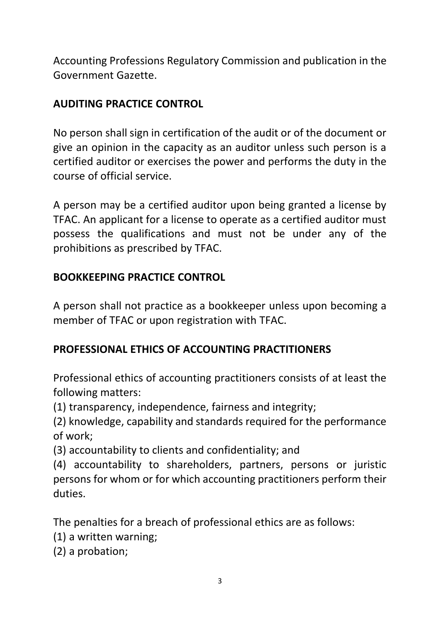Accounting Professions Regulatory Commission and publication in the Government Gazette.

## **AUDITING PRACTICE CONTROL**

No person shall sign in certification of the audit or of the document or give an opinion in the capacity as an auditor unless such person is a certified auditor or exercises the power and performs the duty in the course of official service.

A person may be a certified auditor upon being granted a license by TFAC. An applicant for a license to operate as a certified auditor must possess the qualifications and must not be under any of the prohibitions as prescribed by TFAC.

## **BOOKKEEPING PRACTICE CONTROL**

A person shall not practice as a bookkeeper unless upon becoming a member of TFAC or upon registration with TFAC.

## **PROFESSIONAL ETHICS OF ACCOUNTING PRACTITIONERS**

Professional ethics of accounting practitioners consists of at least the following matters:

(1) transparency, independence, fairness and integrity;

(2) knowledge, capability and standards required for the performance of work;

(3) accountability to clients and confidentiality; and

(4) accountability to shareholders, partners, persons or juristic persons for whom or for which accounting practitioners perform their duties.

The penalties for a breach of professional ethics are as follows:

- (1) a written warning;
- (2) a probation;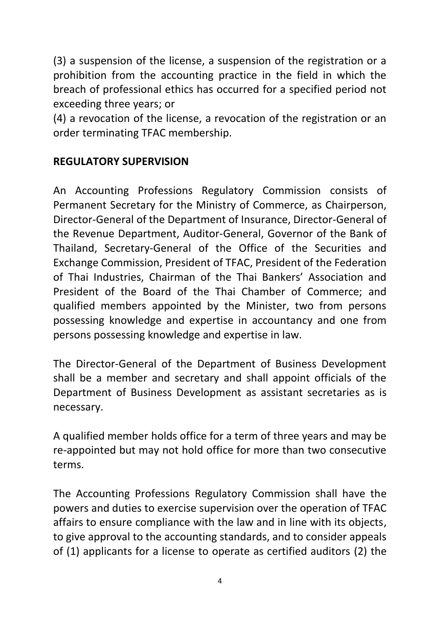(3) a suspension of the license, a suspension of the registration or a prohibition from the accounting practice in the field in which the breach of professional ethics has occurred for a specified period not exceeding three years; or

(4) a revocation of the license, a revocation of the registration or an order terminating TFAC membership.

# **REGULATORY SUPERVISION**

An Accounting Professions Regulatory Commission consists of Permanent Secretary for the Ministry of Commerce, as Chairperson, Director-General of the Department of Insurance, Director-General of the Revenue Department, Auditor-General, Governor of the Bank of Thailand, Secretary-General of the Office of the Securities and Exchange Commission, President of TFAC, President of the Federation of Thai Industries, Chairman of the Thai Bankers' Association and President of the Board of the Thai Chamber of Commerce; and qualified members appointed by the Minister, two from persons possessing knowledge and expertise in accountancy and one from persons possessing knowledge and expertise in law.

The Director-General of the Department of Business Development shall be a member and secretary and shall appoint officials of the Department of Business Development as assistant secretaries as is necessary.

A qualified member holds office for a term of three years and may be re-appointed but may not hold office for more than two consecutive terms.

The Accounting Professions Regulatory Commission shall have the powers and duties to exercise supervision over the operation of TFAC affairs to ensure compliance with the law and in line with its objects, to give approval to the accounting standards, and to consider appeals of (1) applicants for a license to operate as certified auditors (2) the